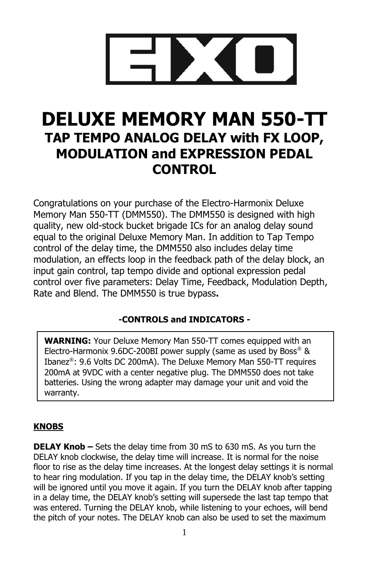

# **DELUXE MEMORY MAN 550-TT TAP TEMPO ANALOG DELAY with FX LOOP, MODULATION and EXPRESSION PEDAL CONTROL**

Congratulations on your purchase of the Electro-Harmonix Deluxe Memory Man 550-TT (DMM550). The DMM550 is designed with high quality, new old-stock bucket brigade ICs for an analog delay sound equal to the original Deluxe Memory Man. In addition to Tap Tempo control of the delay time, the DMM550 also includes delay time modulation, an effects loop in the feedback path of the delay block, an input gain control, tap tempo divide and optional expression pedal control over five parameters: Delay Time, Feedback, Modulation Depth, Rate and Blend. The DMM550 is true bypass**.**

## **-CONTROLS and INDICATORS -**

**WARNING:** Your Deluxe Memory Man 550-TT comes equipped with an Electro-Harmonix 9.6DC-200BI power supply (same as used by Boss®  $\&$ Ibanez®: 9.6 Volts DC 200mA). The Deluxe Memory Man 550-TT requires 200mA at 9VDC with a center negative plug. The DMM550 does not take batteries. Using the wrong adapter may damage your unit and void the warranty.

## **KNOBS**

**DELAY Knob –** Sets the delay time from 30 mS to 630 mS. As you turn the DELAY knob clockwise, the delay time will increase. It is normal for the noise floor to rise as the delay time increases. At the longest delay settings it is normal to hear ring modulation. If you tap in the delay time, the DELAY knob's setting will be ignored until you move it again. If you turn the DELAY knob after tapping in a delay time, the DELAY knob's setting will supersede the last tap tempo that was entered. Turning the DELAY knob, while listening to your echoes, will bend the pitch of your notes. The DELAY knob can also be used to set the maximum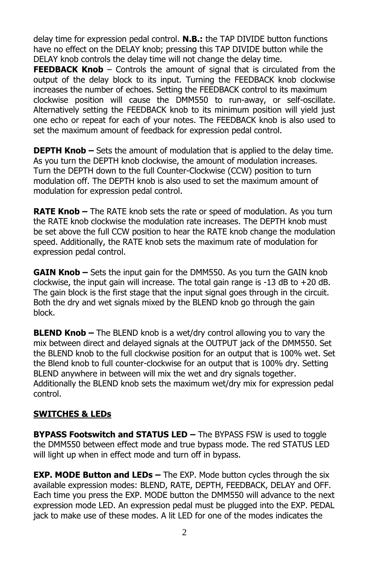delay time for expression pedal control. **N.B.:** the TAP DIVIDE button functions have no effect on the DELAY knob; pressing this TAP DIVIDE button while the DELAY knob controls the delay time will not change the delay time.

**FEEDBACK Knob** – Controls the amount of signal that is circulated from the output of the delay block to its input. Turning the FEEDBACK knob clockwise increases the number of echoes. Setting the FEEDBACK control to its maximum clockwise position will cause the DMM550 to run-away, or self-oscillate. Alternatively setting the FEEDBACK knob to its minimum position will yield just one echo or repeat for each of your notes. The FEEDBACK knob is also used to set the maximum amount of feedback for expression pedal control.

**DEPTH Knob –** Sets the amount of modulation that is applied to the delay time. As you turn the DEPTH knob clockwise, the amount of modulation increases. Turn the DEPTH down to the full Counter-Clockwise (CCW) position to turn modulation off. The DEPTH knob is also used to set the maximum amount of modulation for expression pedal control.

**RATE Knob –** The RATE knob sets the rate or speed of modulation. As you turn the RATE knob clockwise the modulation rate increases. The DEPTH knob must be set above the full CCW position to hear the RATE knob change the modulation speed. Additionally, the RATE knob sets the maximum rate of modulation for expression pedal control.

**GAIN Knob –** Sets the input gain for the DMM550. As you turn the GAIN knob clockwise, the input gain will increase. The total gain range is  $-13$  dB to  $+20$  dB. The gain block is the first stage that the input signal goes through in the circuit. Both the dry and wet signals mixed by the BLEND knob go through the gain block.

**BLEND Knob –** The BLEND knob is a wet/dry control allowing you to vary the mix between direct and delayed signals at the OUTPUT jack of the DMM550. Set the BLEND knob to the full clockwise position for an output that is 100% wet. Set the Blend knob to full counter-clockwise for an output that is 100% dry. Setting BLEND anywhere in between will mix the wet and dry signals together. Additionally the BLEND knob sets the maximum wet/dry mix for expression pedal control.

#### **SWITCHES & LEDs**

**BYPASS Footswitch and STATUS LED –** The BYPASS FSW is used to toggle the DMM550 between effect mode and true bypass mode. The red STATUS LED will light up when in effect mode and turn off in bypass.

**EXP. MODE Button and LEDs –** The EXP. Mode button cycles through the six available expression modes: BLEND, RATE, DEPTH, FEEDBACK, DELAY and OFF. Each time you press the EXP. MODE button the DMM550 will advance to the next expression mode LED. An expression pedal must be plugged into the EXP. PEDAL jack to make use of these modes. A lit LED for one of the modes indicates the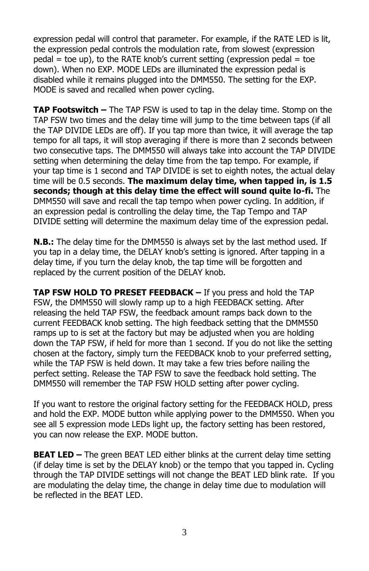expression pedal will control that parameter. For example, if the RATE LED is lit, the expression pedal controls the modulation rate, from slowest (expression  $p$ edal = toe up), to the RATE knob's current setting (expression pedal = toe down). When no EXP. MODE LEDs are illuminated the expression pedal is disabled while it remains plugged into the DMM550. The setting for the EXP. MODE is saved and recalled when power cycling.

**TAP Footswitch –** The TAP FSW is used to tap in the delay time. Stomp on the TAP FSW two times and the delay time will jump to the time between taps (if all the TAP DIVIDE LEDs are off). If you tap more than twice, it will average the tap tempo for all taps, it will stop averaging if there is more than 2 seconds between two consecutive taps. The DMM550 will always take into account the TAP DIVIDE setting when determining the delay time from the tap tempo. For example, if your tap time is 1 second and TAP DIVIDE is set to eighth notes, the actual delay time will be 0.5 seconds. **The maximum delay time, when tapped in, is 1.5 seconds; though at this delay time the effect will sound quite lo-fi.** The DMM550 will save and recall the tap tempo when power cycling. In addition, if an expression pedal is controlling the delay time, the Tap Tempo and TAP DIVIDE setting will determine the maximum delay time of the expression pedal.

**N.B.:** The delay time for the DMM550 is always set by the last method used. If you tap in a delay time, the DELAY knob's setting is ignored. After tapping in a delay time, if you turn the delay knob, the tap time will be forgotten and replaced by the current position of the DELAY knob.

**TAP FSW HOLD TO PRESET FEEDBACK –** If you press and hold the TAP FSW, the DMM550 will slowly ramp up to a high FEEDBACK setting. After releasing the held TAP FSW, the feedback amount ramps back down to the current FEEDBACK knob setting. The high feedback setting that the DMM550 ramps up to is set at the factory but may be adjusted when you are holding down the TAP FSW, if held for more than 1 second. If you do not like the setting chosen at the factory, simply turn the FEEDBACK knob to your preferred setting, while the TAP FSW is held down. It may take a few tries before nailing the perfect setting. Release the TAP FSW to save the feedback hold setting. The DMM550 will remember the TAP FSW HOLD setting after power cycling.

If you want to restore the original factory setting for the FEEDBACK HOLD, press and hold the EXP. MODE button while applying power to the DMM550. When you see all 5 expression mode LEDs light up, the factory setting has been restored, you can now release the EXP. MODE button.

**BEAT LED –** The green BEAT LED either blinks at the current delay time setting (if delay time is set by the DELAY knob) or the tempo that you tapped in. Cycling through the TAP DIVIDE settings will not change the BEAT LED blink rate. If you are modulating the delay time, the change in delay time due to modulation will be reflected in the BEAT LED.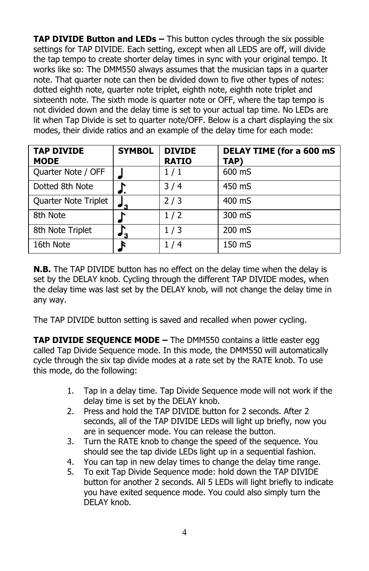**TAP DIVIDE Button and LEDs -** This button cycles through the six possible settings for TAP DIVIDE. Each setting, except when all LEDS are off, will divide the tap tempo to create shorter delay times in sync with your original tempo. It works like so: The DMM550 always assumes that the musician taps in a quarter note. That quarter note can then be divided down to five other types of notes: dotted eighth note, quarter note triplet, eighth note, eighth note triplet and sixteenth note. The sixth mode is quarter note or OFF, where the tap tempo is not divided down and the delay time is set to your actual tap time. No LEDs are lit when Tap Divide is set to quarter note/OFF. Below is a chart displaying the six modes, their divide ratios and an example of the delay time for each mode:

| <b>TAP DIVIDE</b><br><b>MODE</b> | <b>SYMBOL</b> | <b>DIVIDE</b><br><b>RATIO</b> | <b>DELAY TIME (for a 600 mS)</b><br>TAP) |
|----------------------------------|---------------|-------------------------------|------------------------------------------|
| Quarter Note / OFF               |               | 1/1                           | 600 mS                                   |
| Dotted 8th Note                  |               | 3/4                           | 450 mS                                   |
| Quarter Note Triplet             | $^{\prime}$ 3 | 2/3                           | 400 mS                                   |
| 8th Note                         |               | 1/2                           | 300 mS                                   |
| 8th Note Triplet                 | '3            | 1/3                           | 200 mS                                   |
| 16th Note                        |               | 1/4                           | 150 mS                                   |

**N.B.** The TAP DIVIDE button has no effect on the delay time when the delay is set by the DELAY knob. Cycling through the different TAP DIVIDE modes, when the delay time was last set by the DELAY knob, will not change the delay time in any way.

The TAP DIVIDE button setting is saved and recalled when power cycling.

**TAP DIVIDE SEQUENCE MODE –** The DMM550 contains a little easter egg called Tap Divide Sequence mode. In this mode, the DMM550 will automatically cycle through the six tap divide modes at a rate set by the RATE knob. To use this mode, do the following:

- 1. Tap in a delay time. Tap Divide Sequence mode will not work if the delay time is set by the DELAY knob.
- 2. Press and hold the TAP DIVIDE button for 2 seconds. After 2 seconds, all of the TAP DIVIDE LEDs will light up briefly, now you are in sequencer mode. You can release the button.
- 3. Turn the RATE knob to change the speed of the sequence. You should see the tap divide LEDs light up in a sequential fashion.
- 4. You can tap in new delay times to change the delay time range.
- 5. To exit Tap Divide Sequence mode: hold down the TAP DIVIDE button for another 2 seconds. All 5 LEDs will light briefly to indicate you have exited sequence mode. You could also simply turn the DELAY knob.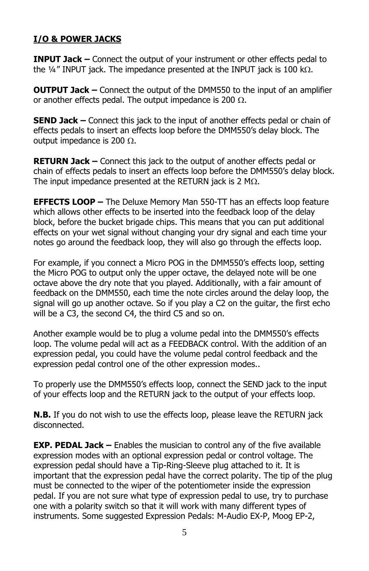#### **I/O & POWER JACKS**

**INPUT Jack –** Connect the output of your instrument or other effects pedal to the  $\frac{1}{4}$ " INPUT jack. The impedance presented at the INPUT jack is 100 k $\Omega$ .

**OUTPUT Jack –** Connect the output of the DMM550 to the input of an amplifier or another effects pedal. The output impedance is 200  $\Omega$ .

**SEND Jack –** Connect this jack to the input of another effects pedal or chain of effects pedals to insert an effects loop before the DMM550's delay block. The output impedance is 200  $\Omega$ .

**RETURN Jack –** Connect this jack to the output of another effects pedal or chain of effects pedals to insert an effects loop before the DMM550's delay block. The input impedance presented at the RETURN jack is 2 M $\Omega$ .

**EFFECTS LOOP –** The Deluxe Memory Man 550-TT has an effects loop feature which allows other effects to be inserted into the feedback loop of the delay block, before the bucket brigade chips. This means that you can put additional effects on your wet signal without changing your dry signal and each time your notes go around the feedback loop, they will also go through the effects loop.

For example, if you connect a Micro POG in the DMM550's effects loop, setting the Micro POG to output only the upper octave, the delayed note will be one octave above the dry note that you played. Additionally, with a fair amount of feedback on the DMM550, each time the note circles around the delay loop, the signal will go up another octave. So if you play a C2 on the guitar, the first echo will be a C3, the second C4, the third C5 and so on.

Another example would be to plug a volume pedal into the DMM550's effects loop. The volume pedal will act as a FEEDBACK control. With the addition of an expression pedal, you could have the volume pedal control feedback and the expression pedal control one of the other expression modes..

To properly use the DMM550's effects loop, connect the SEND jack to the input of your effects loop and the RETURN jack to the output of your effects loop.

**N.B.** If you do not wish to use the effects loop, please leave the RETURN jack disconnected.

**EXP. PEDAL Jack –** Enables the musician to control any of the five available expression modes with an optional expression pedal or control voltage. The expression pedal should have a Tip-Ring-Sleeve plug attached to it. It is important that the expression pedal have the correct polarity. The tip of the plug must be connected to the wiper of the potentiometer inside the expression pedal. If you are not sure what type of expression pedal to use, try to purchase one with a polarity switch so that it will work with many different types of instruments. Some suggested Expression Pedals: M-Audio EX-P, Moog EP-2,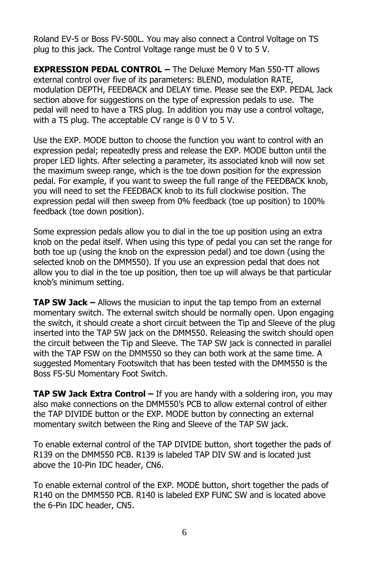Roland EV-5 or Boss FV-500L. You may also connect a Control Voltage on TS plug to this jack. The Control Voltage range must be 0 V to 5 V.

**EXPRESSION PEDAL CONTROL –** The Deluxe Memory Man 550-TT allows external control over five of its parameters: BLEND, modulation RATE, modulation DEPTH, FEEDBACK and DELAY time. Please see the EXP. PEDAL Jack section above for suggestions on the type of expression pedals to use. The pedal will need to have a TRS plug. In addition you may use a control voltage, with a TS plug. The acceptable CV range is 0 V to 5 V.

Use the EXP. MODE button to choose the function you want to control with an expression pedal; repeatedly press and release the EXP. MODE button until the proper LED lights. After selecting a parameter, its associated knob will now set the maximum sweep range, which is the toe down position for the expression pedal. For example, if you want to sweep the full range of the FEEDBACK knob, you will need to set the FEEDBACK knob to its full clockwise position. The expression pedal will then sweep from 0% feedback (toe up position) to 100% feedback (toe down position).

Some expression pedals allow you to dial in the toe up position using an extra knob on the pedal itself. When using this type of pedal you can set the range for both toe up (using the knob on the expression pedal) and toe down (using the selected knob on the DMM550). If you use an expression pedal that does not allow you to dial in the toe up position, then toe up will always be that particular knob's minimum setting.

**TAP SW Jack –** Allows the musician to input the tap tempo from an external momentary switch. The external switch should be normally open. Upon engaging the switch, it should create a short circuit between the Tip and Sleeve of the plug inserted into the TAP SW jack on the DMM550. Releasing the switch should open the circuit between the Tip and Sleeve. The TAP SW jack is connected in parallel with the TAP FSW on the DMM550 so they can both work at the same time. A suggested Momentary Footswitch that has been tested with the DMM550 is the Boss FS-5U Momentary Foot Switch.

**TAP SW Jack Extra Control** – If you are handy with a soldering iron, you may also make connections on the DMM550's PCB to allow external control of either the TAP DIVIDE button or the EXP. MODE button by connecting an external momentary switch between the Ring and Sleeve of the TAP SW jack.

To enable external control of the TAP DIVIDE button, short together the pads of R139 on the DMM550 PCB. R139 is labeled TAP DIV SW and is located just above the 10-Pin IDC header, CN6.

To enable external control of the EXP. MODE button, short together the pads of R140 on the DMM550 PCB. R140 is labeled EXP FUNC SW and is located above the 6-Pin IDC header, CN5.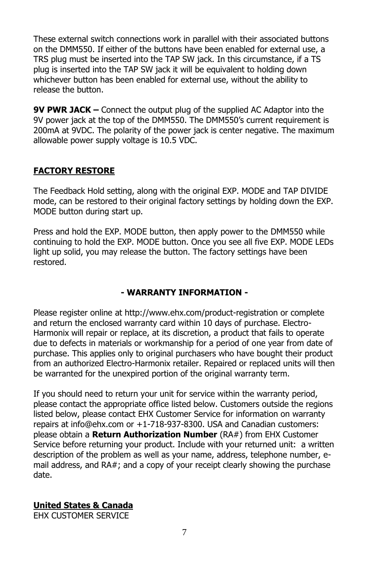These external switch connections work in parallel with their associated buttons on the DMM550. If either of the buttons have been enabled for external use, a TRS plug must be inserted into the TAP SW jack. In this circumstance, if a TS plug is inserted into the TAP SW jack it will be equivalent to holding down whichever button has been enabled for external use, without the ability to release the button.

**9V PWR JACK –** Connect the output plug of the supplied AC Adaptor into the 9V power jack at the top of the DMM550. The DMM550's current requirement is 200mA at 9VDC. The polarity of the power jack is center negative. The maximum allowable power supply voltage is 10.5 VDC.

#### **FACTORY RESTORE**

The Feedback Hold setting, along with the original EXP. MODE and TAP DIVIDE mode, can be restored to their original factory settings by holding down the EXP. MODE button during start up.

Press and hold the EXP. MODE button, then apply power to the DMM550 while continuing to hold the EXP. MODE button. Once you see all five EXP. MODE LEDs light up solid, you may release the button. The factory settings have been restored.

#### **- WARRANTY INFORMATION -**

Please register online at http://www.ehx.com/product-registration or complete and return the enclosed warranty card within 10 days of purchase. Electro-Harmonix will repair or replace, at its discretion, a product that fails to operate due to defects in materials or workmanship for a period of one year from date of purchase. This applies only to original purchasers who have bought their product from an authorized Electro-Harmonix retailer. Repaired or replaced units will then be warranted for the unexpired portion of the original warranty term.

If you should need to return your unit for service within the warranty period, please contact the appropriate office listed below. Customers outside the regions listed below, please contact EHX Customer Service for information on warranty repairs at info@ehx.com or +1-718-937-8300. USA and Canadian customers: please obtain a **Return Authorization Number** (RA#) from EHX Customer Service before returning your product. Include with your returned unit: a written description of the problem as well as your name, address, telephone number, email address, and RA#; and a copy of your receipt clearly showing the purchase date.

## **United States & Canada**

EHX CUSTOMER SERVICE